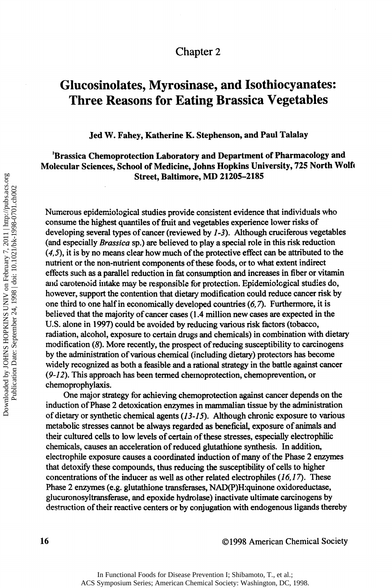## Chapter 2

# **Glucosinolates, Myrosinase, and Isothiocyanates: Three Reasons for Eating Brassica Vegetables**

**Jed W. Fahey, Katherine Κ. Stephenson, and Paul Talalay** 

### **<sup>1</sup>Brassica Chemoprotection Laboratory and Department of Pharmacology and Molecular Sciences, School of Medicine, Johns Hopkins University, 725 North Wolfe Street, Baltimore, MD 21205-2185**

Numerous epidemiological studies provide consistent evidence that individuals who consume the highest quantiles of fruit and vegetables experience lower risks of developing several types of cancer (reviewed by *1-3).* Although cruciferous vegetables (and especially *Brassica* sp.) are believed to play a special role in this risk reduction *(4,5),* it is by no means clear how much of the protective effect can be attributed to the nutrient or the non-nutrient components of these foods, or to what extent indirect effects such as a parallel reduction in fat consumption and increases in fiber or vitamin and carotenoid intake may be responsible for protection. Epidemiological studies do, however, support the contention that dietary modification could reduce cancer risk by one third to one half in economically developed countries *(6,*7). Furthermore, it is believed that the majority of cancer cases (1.4 million new cases are expected in the U.S. alone in 1997) could be avoided by reducing various risk factors (tobacco, radiation, alcohol, exposure to certain drugs and chemicals) in combination with dietary modification *(8).* More recently, the prospect of reducing susceptibility to carcinogens by the administration of various chemical (including dietary) protectors has become widely recognized as both a feasible and a rational strategy in the battle against cancer *(9-12).* This approach has been termed chemoprotection, chemoprevention, or chemoprophylaxis.

One major strategy for achieving chemoprotection against cancer depends on the induction of Phase 2 detoxication enzymes in mammalian tissue by the administration of dietary or synthetic chemical agents (13-15). Although chronic exposure to various metabolic stresses cannot be always regarded as beneficial, exposure of animals and their cultured cells to low levels of certain of these stresses, especially electrophilic chemicals, causes an acceleration of reduced glutathione synthesis. In addition, electrophile exposure causes a coordinated induction of many of the Phase 2 enzymes that detoxify these compounds, thus reducing the susceptibility of cells to higher concentrations of the inducer as well as other related electrophiles *(16,1*7). These Phase 2 enzymes (e.g. glutathione transferases, NAD(P)H:quinone oxidoreductase, glucuronosyltransferase, and epoxide hydrolase) inactivate ultimate carcinogens by destruction of their reactive centers or by conjugation with endogenous ligands thereby

**16** ©1998 American Chemical Society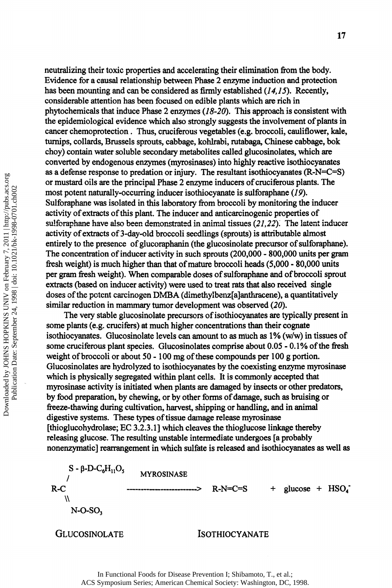neutralizing their toxic properties and accelerating their elimination from the body. Evidence for a causal relationship between Phase 2 enzyme induction and protection has been mounting and can be considered as firmly established *(14,15).* Recently, considerable attention has been focused on edible plants which are rich in phytochemicals that induce Phase 2 enzymes *(18-20).* This approach is consistent with the epidemiological evidence which also strongly suggests the involvement of plants in cancer chemoprotection. Thus, cruciferous vegetables (e.g. broccoli, cauliflower, kale, turnips, collards, Brussels sprouts, cabbage, kohlrabi, rutabaga, Chinese cabbage, bok choy) contain water soluble secondary metabolites called glucosinolates, which are converted by endogenous enzymes (myrosinases) into highly reactive isothiocyanates as a defense response to prédation or injury. The resultant isothiocyanates (R-N=C=S) or mustard oils are the principal Phase 2 enzyme inducers of cruciferous plants. The most potent naturally-occurring inducer isothiocyanate is sulforaphane *(19).*  Sulforaphane was isolated in this laboratory from broccoli by monitoring the inducer activity of extracts of this plant. The inducer and anticarcinogenic properties of sulforaphane have also been demonstrated in animal tissues *(21,22).* The latent inducer activity of extracts of 3-day-old broccoli seedlings (sprouts) is attributable almost entirely to the presence of glucoraphanin (the glucosinolate precursor of sulforaphane). The concentration of inducer activity in such sprouts (200,000 - 800,000 units per gram fresh weight) is much higher than that of mature broccoli heads (5,000 - 80,000 units per gram fresh weight). When comparable doses of sulforaphane and of broccoli sprout extracts (based on inducer activity) were used to treat rats that also received single doses of the potent carcinogen DMBA (dimethylbenz[a]anthracene), a quantitatively similar reduction in mammary tumor development was observed *(20).* 

The very stable glucosinolate precursors of isothiocyanates are typically present in some plants (e.g. crucifers) at much higher concentrations than their cognate isothiocyanates. Glucosinolate levels can amount to as much as 1% (w/w) in tissues of some cruciferous plant species. Glucosinolates comprise about 0.05 - 0.1% of the fresh weight of broccoli or about 50-100 mg of these compounds per 100 g portion. Glucosinolates are hydrolyzed to isothiocyanates by the coexisting enzyme myrosinase which is physically segregated within plant cells. It is commonly accepted that myrosinase activity is initiated when plants are damaged by insects or other predators, by food preparation, by chewing, or by other forms of damage, such as bruising or freeze-thawing during cultivation, harvest, shipping or handling, and in animal digestive systems. These types of tissue damage release myrosinase [thioglucohydrolase; EC 3.2.3.1] which cleaves the thioglucose linkage thereby releasing glucose. The resulting unstable intermediate undergoes [a probably nonenzymatic] rearrangement in which sulfate is released and isothiocyanates as well as

 $S - \beta$ -D-C<sub>6</sub>H<sub>11</sub>O<sub>5</sub> **MYROSINASE** R-C -> R-N=C=S + glucose + HS0<sup>4</sup> " **\\**  N-O**-SO3**  GLUCOSINOLATE ISOTHIOCYANATE

> In Functional Foods for Disease Prevention I; Shibamoto, T., et al.; ACS Symposium Series; American Chemical Society: Washington, DC, 1998.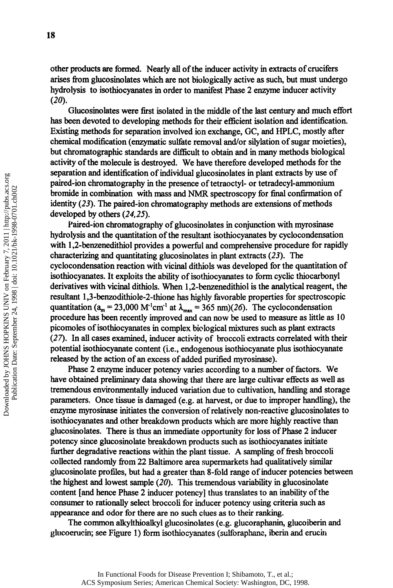other products are formed. Nearly all of the inducer activity in extracts of crucifers arises from glucosinolates which are not biologically active as such, but must undergo hydrolysis to isothiocyanates in order to manifest Phase 2 enzyme inducer activity *(20).* 

Glucosinolates were first isolated in the middle of the last century and much effort has been devoted to developing methods for their efficient isolation and identification. Existing methods for separation involved ion exchange, GC, and HPLC, mostly after chemical modification (enzymatic sulfate removal and/or silylation of sugar moieties), but chromatographic standards are difficult to obtain and in many methods biological activity of the molecule is destroyed. We have therefore developed methods for the separation and identification of individual glucosinolates in plant extracts by use of paired-ion chromatography in the presence of tetraoctyl- or tetradecyl-ammonium bromide in combination with mass and NMR spectroscopy for final confirmation of identity (23). The paired-ion chromatography methods are extensions of methods developed by others *(24,25).* 

Paired-ion chromatography of glucosinolates in conjunction with myrosinase hydrolysis and the quantitation of the resultant isothiocyanates by cyclocondensation with 1,2-benzenedithiol provides a powerful and comprehensive procedure for rapidly characterizing and quantitating glucosinolates in plant extracts *(23).* The cyclocondensation reaction with vicinal dithiols was developed for the quantitation of isothiocyanates. It exploits the ability of isothiocyanates to form cyclic thiocarbonyl derivatives with vicinal dithiols. When 1,2-benzenedithiol is the analytical reagent, the resultant l,3-benzodithiole-2-thione has highly favorable properties for spectroscopic quantitation ( $a_m = 23,000$  M<sup>-1</sup>cm<sup>-1</sup> at  $\lambda_{max} = 365$  nm)(26). The cyclocondensation procedure has been recently improved and can now be used to measure as little as 10 picomoles of isothiocyanates in complex biological mixtures such as plant extracts *(27).* In all cases examined, inducer activity of broccoli extracts correlated with their potential isothiocyanate content (i.e., endogenous isothiocyanate plus isothiocyanate released by the action of an excess of added purified myrosinase).

Phase 2 enzyme inducer potency varies according to a number of factors. We have obtained preliminary data showing that there are large cultivar effects as well as tremendous environmentally induced variation due to cultivation, handling and storage parameters. Once tissue is damaged (e.g. at harvest, or due to improper handling), the enzyme myrosinase initiates the conversion of relatively non-reactive glucosinolates to isothiocyanates and other breakdown products which are more highly reactive than glucosinolates. There is thus an immediate opportunity for loss of Phase 2 inducer potency since glucosinolate breakdown products such as isothiocyanates initiate further degradative reactions within the plant tissue. A sampling of fresh broccoli collected randomly from 22 Baltimore area supermarkets had qualitatively similar glucosinolate profiles, but had a greater than 8-fold range of inducer potencies between the highest and lowest sample *(20).* This tremendous variability in glucosinolate content [and hence Phase 2 inducer potency] thus translates to an inability of the consumer to rationally select broccoli for inducer potency using criteria such as appearance and odor for there are no such clues as to their ranking.

The common alkylthioalkyl glucosinolates (e.g. glucoraphanin, glucoiberin and glucoerucin; see Figure 1) form isothiocyanates (sulforaphane, iberin and erucin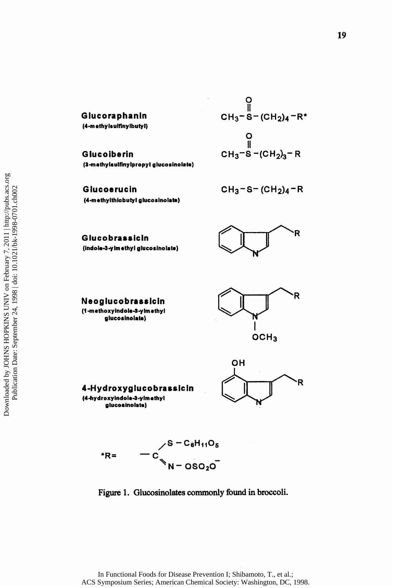**Glucoraphanin (4**-methylsulflnylbutyl)

**Glucoiberin (a**-mathylsulfinylpropyl glucosinolate)

$$
CH_3-S-(CH_2)_4-R^*
$$
  
\n
$$
O
$$
  
\n
$$
CH_3-S-(CH_2)_3-R
$$

**Glucoerucin (4**-m\*lhylthlobutyl glucosinolate)  $CH_3 - S - (CH_2)A - R$ 

**Glucobrassicin**  (indola-3-ylm ethyl glucosinolate)







**4-Hydroxyglucobrassicin (4**-hydroxyindola**-a**-ylmothyl glucosinolate)





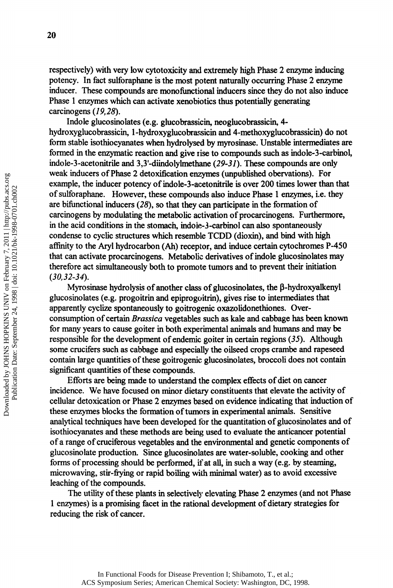respectively) with very low cytotoxicity and extremely high Phase 2 enzyme inducing potency. In fact sulforaphane is the most potent naturally occurring Phase 2 enzyme inducer. These compounds are monofunctional inducers since they do not also induce Phase 1 enzymes which can activate xenobiotics thus potentially generating carcinogens *(19,28).* 

Indole glucosinolates (e.g. glucobrassicin, neoglucobrassicin, 4 hydroxyglucobrassicin, 1-hydroxyglucobrassicin and 4-methoxyglucobrassicin) do not form stable isothiocyanates when hydrolysed by myrosinase. Unstable intermediates are formed in the enzymatic reaction and give rise to compounds such as indole-3-carbinol, indole-3-acetonitrile and 3,3-diindolylmethane *(29-31).* These compounds are only weak inducers of Phase 2 detoxification enzymes (unpublished obervations). For example, the inducer potency of indole-3-acetonitrile is over 200 times lower than that of sulforaphane. However, these compounds also induce Phase 1 enzymes, i.e. they are bifunctional inducers *(28\* so that they can participate in the formation of carcinogens by modulating the metabolic activation of procarcinogens. Furthermore, in the acid conditions in the stomach, indoie-3-carbinol can also spontaneously condense to cyclic structures which resemble TCDD (dioxin), and bind with high affinity to the Aryi hydrocarbon (Ah) receptor, and induce certain cytochromes P-450 that can activate procarcinogens. Metabolic derivatives of indole glucosinolates may therefore act simultaneously both to promote tumors and to prevent their initiation *(30,32-34).* 

Myrosinase hydrolysis of another class of glucosinolates, the β-hydroxyalkenyl glucosinolates (e.g. progoitrin and epiprogoitrin), gives rise to intermediates that apparently cyclize spontaneously to goitrogenic oxazolidonethiones. Overconsumption of certain *Brassica* vegetables such as kale and cabbage has been known for many years to cause goiter in both experimental animals and humans and may be responsible for the development of endemic goiter in certain regions *(35).* Although some crucifers such as cabbage and especially the oilseed crops crambe and rapeseed contain large quantities of these goitrogenic glucosinolates, broccoli does not contain significant quantities of these compounds.

Efforts are being made to understand the complex effects of diet on cancer incidence. We have focused on minor dietary constituents that elevate the activity of cellular detoxication or Phase 2 enzymes based on evidence indicating that induction of these enzymes blocks the formation of tumors in experimental animals. Sensitive analytical techniques have been developed for the quantitation of glucosinolates and of isothiocyanates and these methods are being used to evaluate the anticancer potential of a range of cruciferous vegetables and the environmental and genetic components of glucosinolate production. Since glucosinolates are water-soluble, cooking and other forms of processing should be performed, if at all, in such a way (e.g. by steaming, microwaving, stir-frying or rapid boiling with minimal water) as to avoid excessive leaching of the compounds.

The utility of these plants in selectively elevating Phase 2 enzymes (and not Phase 1 enzymes) is a promising facet in the rational development of dietary strategies for reducing the risk of cancer.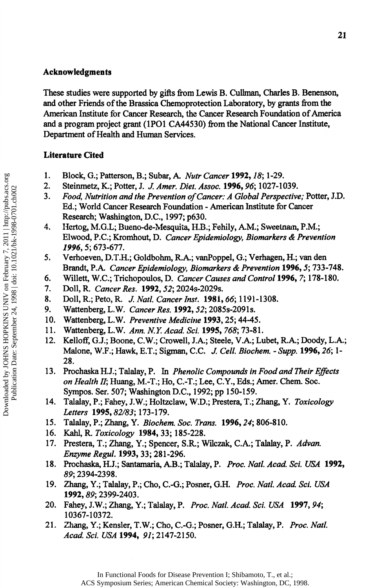#### **Acknowledgments**

These studies were supported by gifts from Lewis B. Cullman, Charles B. Benenson, and other Friends of the Brassica Chemoprotection Laboratory, by grants from the American Institute for Cancer Research, the Cancer Research Foundation of America and a program project grant (1P01 CA44530) from the National Cancer Institute, Department of Health and Human Services.

### **Literature Cited**

- 1. Block, G.; Patterson, B.; Subar, A. *Nutr Cancer* **1992,** *18;* 1-29.
- 2. Steinmetz, K.; Potter, J. *J. Amer. Diet. Assoc.* **1996,** *96;* 1027-1039.
- 3. *Food, Nutrition and the Prevention of Cancer: A Global Perspective;* Potter, J.D. Ed.; World Cancer Research Foundation - American Institute for Cancer Research; Washington, D.C., 1997; p630.
- 4. Hertog, M.G.L; Bueno-de-Mesquita, H.B.; Fehily, A.M.; Sweetnam, P.M.; Elwood, P.C.; Kromhout, D. *Cancer Epidemiology, Biomarkers & Prevention 1996, 5;* 673-677.
- 5. Verhoeven, D.T.H.; Goldbohm, R.A.; vanPoppel, G.; Verhagen, H.; van den Brandt, P.A. *Cancer Epidemiology, Biomarkers & Prevention* **1996,** 5; 733-748.
- 6. Willett, W.C.; Trichopoulos, D. *Cancer Causes and Control* **1996,** 7; 178-180.
- 7. Doll, R. *Cancer Res.* **1992,** *52;* 2024s-2029s.
- 8. Doll, R.; Peto, R. *J. Natl. Cancer Inst.* **1981,** *66;* 1191-1308.
- 9. Wattenberg, L. W. *Cancer Res.* **1992,** *52;* 2085s-2091s.
- 10. Wattenberg, L.W. *Preventive Medicine* **1993,** 25; 44-45.
- 11. Wattenberg, L.W. *Ann. N.Y. Acad Sci.* **1995,** *768;* 73-81.
- 12. Kelloff, G.J.; Boone, C.W.; Crowell, J.A.; Steele, V.A.; Lubet, R.A.; Doody, L.Α.; Malone, W.F.; Hawk, E.T.; Sigman, C.C. *J. Cell. Biochem. - Supp.* **1996,** *26;* 1- 28.
- 13. Prochaska H.J.; Talalay, P. In *Phenolic Compounds in Food and Their Effects on Health II;* Huang, M.-T.; Ho, C.-T.; Lee, C.Y., Eds.; Amer. Chem. Soc. Sympos. Ser. 507; Washington D.C., 1992; pp 150-159.
- 14. Talalay, P.; Fahey, J.W.; Holtzclaw, W.D.; Prestera, T.; Zhang, Y. *Toxicology Letters* **1995,** *82/83;* 173-179.
- 15. Talalay, P.; Zhang, Y. *Biochem. Soc. Trans.* **1996,** *24;* 806-810.
- 16. Kahl, R. *Toxicology* **1984,** 33; 185-228.
- 17. Prestera, T.; Zhang, Y.; Spencer, S.R.; Wilczak, C.A.; Talalay, P. *Advan. Enzyme Regul.* **1993,** 33; 281-296.
- 18. Prochaska, H.J.; Santamaria, A.B.; Talalay, P. *Proc. Natl. Acad. Sci. USA* **1992,**  *89;* 2394-2398.
- 19. Zhang, Y.; Talalay, P.; Cho, C.-G.; Posner, G.H. *Proc. Natl. Acad. Sci. USA*  **1992,** *89;* 2399-2403.
- 20. Fahey, J.W.; Zhang, Y.; Talalay, P. *Proc. Natl. Acad. Sci. USA 1997,94;*  10367-10372.
- 21. Zhang, Y.; Kensler, T.W.; Cho, C.-G.; Posner, G.H.; Talalay, P. *Proc. Natl. Acad. Sci. USA* **1994,** *91;* 2147-2150.